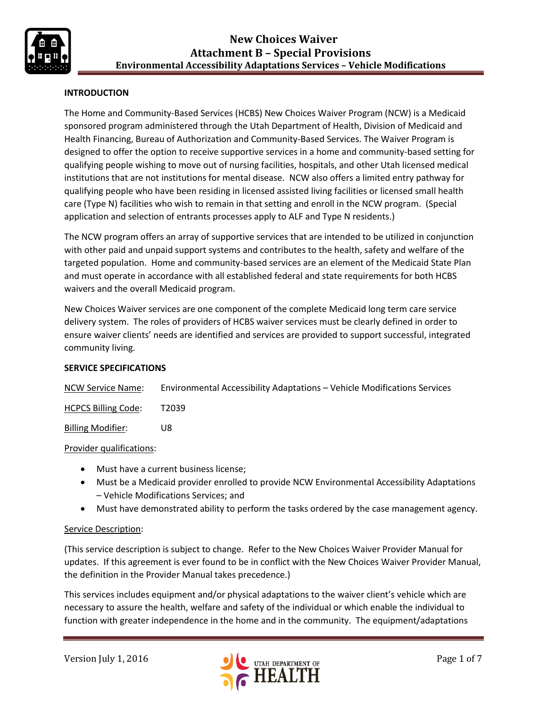

## **INTRODUCTION**

The Home and Community-Based Services (HCBS) New Choices Waiver Program (NCW) is a Medicaid sponsored program administered through the Utah Department of Health, Division of Medicaid and Health Financing, Bureau of Authorization and Community-Based Services. The Waiver Program is designed to offer the option to receive supportive services in a home and community-based setting for qualifying people wishing to move out of nursing facilities, hospitals, and other Utah licensed medical institutions that are not institutions for mental disease. NCW also offers a limited entry pathway for qualifying people who have been residing in licensed assisted living facilities or licensed small health care (Type N) facilities who wish to remain in that setting and enroll in the NCW program. (Special application and selection of entrants processes apply to ALF and Type N residents.)

The NCW program offers an array of supportive services that are intended to be utilized in conjunction with other paid and unpaid support systems and contributes to the health, safety and welfare of the targeted population. Home and community-based services are an element of the Medicaid State Plan and must operate in accordance with all established federal and state requirements for both HCBS waivers and the overall Medicaid program.

New Choices Waiver services are one component of the complete Medicaid long term care service delivery system. The roles of providers of HCBS waiver services must be clearly defined in order to ensure waiver clients' needs are identified and services are provided to support successful, integrated community living.

#### **SERVICE SPECIFICATIONS**

NCW Service Name: Environmental Accessibility Adaptations – Vehicle Modifications Services

HCPCS Billing Code: T2039

Billing Modifier: U8

Provider qualifications:

- Must have a current business license;
- Must be a Medicaid provider enrolled to provide NCW Environmental Accessibility Adaptations – Vehicle Modifications Services; and
- Must have demonstrated ability to perform the tasks ordered by the case management agency.

#### Service Description:

(This service description is subject to change. Refer to the New Choices Waiver Provider Manual for updates. If this agreement is ever found to be in conflict with the New Choices Waiver Provider Manual, the definition in the Provider Manual takes precedence.)

This services includes equipment and/or physical adaptations to the waiver client's vehicle which are necessary to assure the health, welfare and safety of the individual or which enable the individual to function with greater independence in the home and in the community. The equipment/adaptations

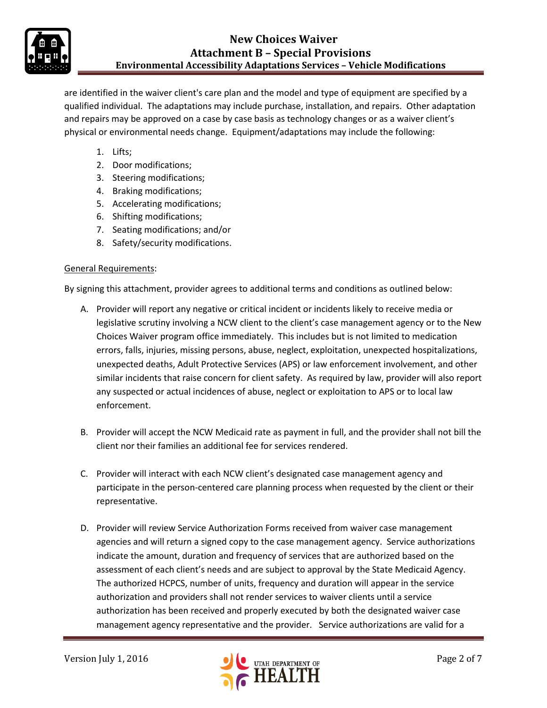

are identified in the waiver client's care plan and the model and type of equipment are specified by a qualified individual. The adaptations may include purchase, installation, and repairs. Other adaptation and repairs may be approved on a case by case basis as technology changes or as a waiver client's physical or environmental needs change. Equipment/adaptations may include the following:

- 1. Lifts;
- 2. Door modifications;
- 3. Steering modifications;
- 4. Braking modifications;
- 5. Accelerating modifications;
- 6. Shifting modifications;
- 7. Seating modifications; and/or
- 8. Safety/security modifications.

### General Requirements:

By signing this attachment, provider agrees to additional terms and conditions as outlined below:

- A. Provider will report any negative or critical incident or incidents likely to receive media or legislative scrutiny involving a NCW client to the client's case management agency or to the New Choices Waiver program office immediately. This includes but is not limited to medication errors, falls, injuries, missing persons, abuse, neglect, exploitation, unexpected hospitalizations, unexpected deaths, Adult Protective Services (APS) or law enforcement involvement, and other similar incidents that raise concern for client safety. As required by law, provider will also report any suspected or actual incidences of abuse, neglect or exploitation to APS or to local law enforcement.
- B. Provider will accept the NCW Medicaid rate as payment in full, and the provider shall not bill the client nor their families an additional fee for services rendered.
- C. Provider will interact with each NCW client's designated case management agency and participate in the person-centered care planning process when requested by the client or their representative.
- D. Provider will review Service Authorization Forms received from waiver case management agencies and will return a signed copy to the case management agency. Service authorizations indicate the amount, duration and frequency of services that are authorized based on the assessment of each client's needs and are subject to approval by the State Medicaid Agency. The authorized HCPCS, number of units, frequency and duration will appear in the service authorization and providers shall not render services to waiver clients until a service authorization has been received and properly executed by both the designated waiver case management agency representative and the provider. Service authorizations are valid for a

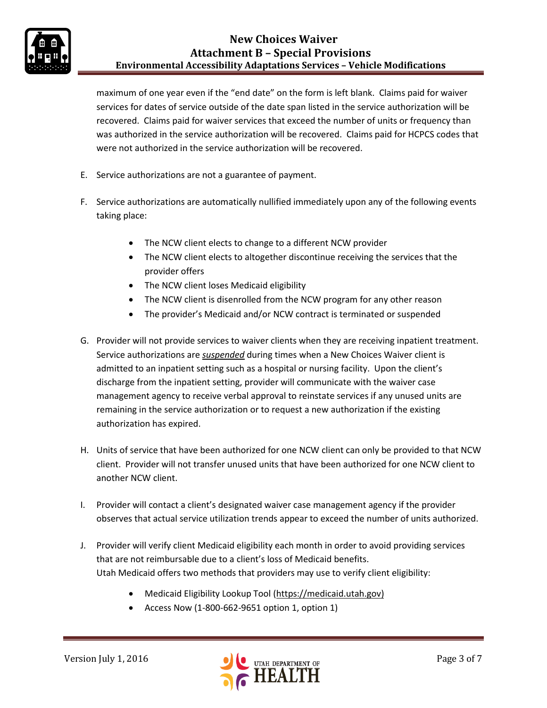

maximum of one year even if the "end date" on the form is left blank. Claims paid for waiver services for dates of service outside of the date span listed in the service authorization will be recovered. Claims paid for waiver services that exceed the number of units or frequency than was authorized in the service authorization will be recovered. Claims paid for HCPCS codes that were not authorized in the service authorization will be recovered.

- E. Service authorizations are not a guarantee of payment.
- F. Service authorizations are automatically nullified immediately upon any of the following events taking place:
	- The NCW client elects to change to a different NCW provider
	- The NCW client elects to altogether discontinue receiving the services that the provider offers
	- The NCW client loses Medicaid eligibility
	- The NCW client is disenrolled from the NCW program for any other reason
	- The provider's Medicaid and/or NCW contract is terminated or suspended
- G. Provider will not provide services to waiver clients when they are receiving inpatient treatment. Service authorizations are *suspended* during times when a New Choices Waiver client is admitted to an inpatient setting such as a hospital or nursing facility. Upon the client's discharge from the inpatient setting, provider will communicate with the waiver case management agency to receive verbal approval to reinstate services if any unused units are remaining in the service authorization or to request a new authorization if the existing authorization has expired.
- H. Units of service that have been authorized for one NCW client can only be provided to that NCW client. Provider will not transfer unused units that have been authorized for one NCW client to another NCW client.
- I. Provider will contact a client's designated waiver case management agency if the provider observes that actual service utilization trends appear to exceed the number of units authorized.
- J. Provider will verify client Medicaid eligibility each month in order to avoid providing services that are not reimbursable due to a client's loss of Medicaid benefits. Utah Medicaid offers two methods that providers may use to verify client eligibility:
	- Medicaid Eligibility Lookup Tool [\(https://medicaid.utah.gov\)](https://medicaid.utah.gov/)
	- Access Now (1-800-662-9651 option 1, option 1)

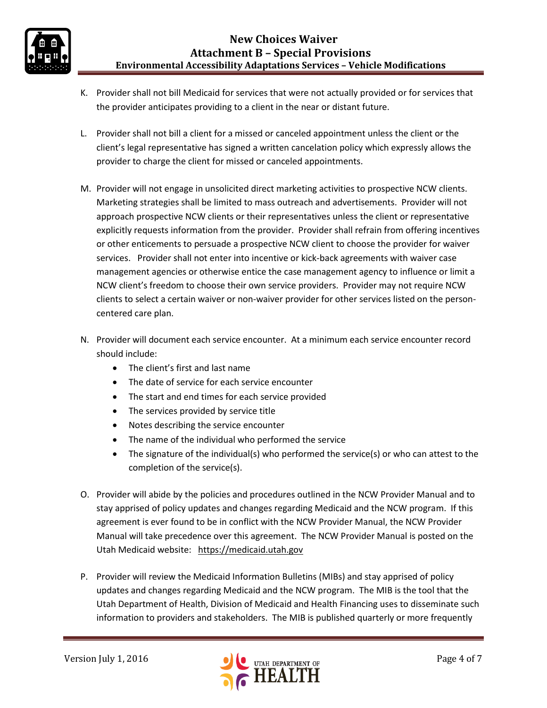

- K. Provider shall not bill Medicaid for services that were not actually provided or for services that the provider anticipates providing to a client in the near or distant future.
- L. Provider shall not bill a client for a missed or canceled appointment unless the client or the client's legal representative has signed a written cancelation policy which expressly allows the provider to charge the client for missed or canceled appointments.
- M. Provider will not engage in unsolicited direct marketing activities to prospective NCW clients. Marketing strategies shall be limited to mass outreach and advertisements. Provider will not approach prospective NCW clients or their representatives unless the client or representative explicitly requests information from the provider. Provider shall refrain from offering incentives or other enticements to persuade a prospective NCW client to choose the provider for waiver services. Provider shall not enter into incentive or kick-back agreements with waiver case management agencies or otherwise entice the case management agency to influence or limit a NCW client's freedom to choose their own service providers. Provider may not require NCW clients to select a certain waiver or non-waiver provider for other services listed on the personcentered care plan.
- N. Provider will document each service encounter. At a minimum each service encounter record should include:
	- The client's first and last name
	- The date of service for each service encounter
	- The start and end times for each service provided
	- The services provided by service title
	- Notes describing the service encounter
	- The name of the individual who performed the service
	- $\bullet$  The signature of the individual(s) who performed the service(s) or who can attest to the completion of the service(s).
- O. Provider will abide by the policies and procedures outlined in the NCW Provider Manual and to stay apprised of policy updates and changes regarding Medicaid and the NCW program. If this agreement is ever found to be in conflict with the NCW Provider Manual, the NCW Provider Manual will take precedence over this agreement. The NCW Provider Manual is posted on the Utah Medicaid website: [https://medicaid.utah.gov](https://medicaid.utah.gov/)
- P. Provider will review the Medicaid Information Bulletins (MIBs) and stay apprised of policy updates and changes regarding Medicaid and the NCW program. The MIB is the tool that the Utah Department of Health, Division of Medicaid and Health Financing uses to disseminate such information to providers and stakeholders. The MIB is published quarterly or more frequently

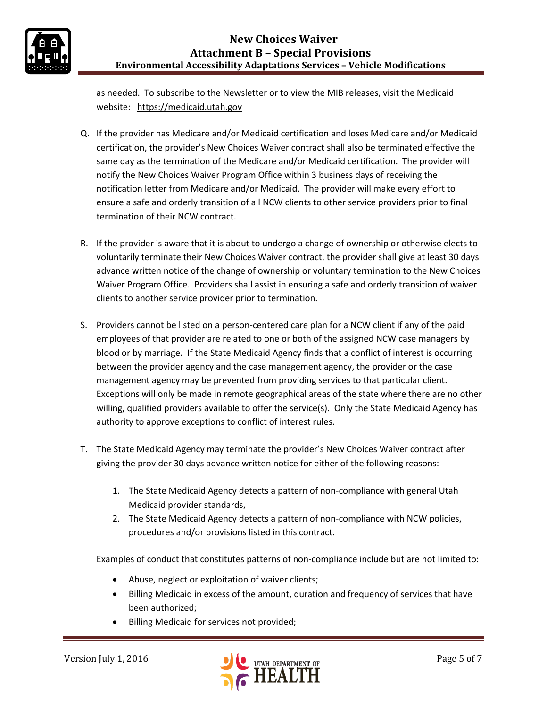# **New Choices Waiver Attachment B – Special Provisions Environmental Accessibility Adaptations Services – Vehicle Modifications**



as needed. To subscribe to the Newsletter or to view the MIB releases, visit the Medicaid website: [https://medicaid.utah.gov](https://medicaid.utah.gov/)

- Q. If the provider has Medicare and/or Medicaid certification and loses Medicare and/or Medicaid certification, the provider's New Choices Waiver contract shall also be terminated effective the same day as the termination of the Medicare and/or Medicaid certification. The provider will notify the New Choices Waiver Program Office within 3 business days of receiving the notification letter from Medicare and/or Medicaid. The provider will make every effort to ensure a safe and orderly transition of all NCW clients to other service providers prior to final termination of their NCW contract.
- R. If the provider is aware that it is about to undergo a change of ownership or otherwise elects to voluntarily terminate their New Choices Waiver contract, the provider shall give at least 30 days advance written notice of the change of ownership or voluntary termination to the New Choices Waiver Program Office. Providers shall assist in ensuring a safe and orderly transition of waiver clients to another service provider prior to termination.
- S. Providers cannot be listed on a person-centered care plan for a NCW client if any of the paid employees of that provider are related to one or both of the assigned NCW case managers by blood or by marriage. If the State Medicaid Agency finds that a conflict of interest is occurring between the provider agency and the case management agency, the provider or the case management agency may be prevented from providing services to that particular client. Exceptions will only be made in remote geographical areas of the state where there are no other willing, qualified providers available to offer the service(s). Only the State Medicaid Agency has authority to approve exceptions to conflict of interest rules.
- T. The State Medicaid Agency may terminate the provider's New Choices Waiver contract after giving the provider 30 days advance written notice for either of the following reasons:
	- 1. The State Medicaid Agency detects a pattern of non-compliance with general Utah Medicaid provider standards,
	- 2. The State Medicaid Agency detects a pattern of non-compliance with NCW policies, procedures and/or provisions listed in this contract.

Examples of conduct that constitutes patterns of non-compliance include but are not limited to:

- Abuse, neglect or exploitation of waiver clients;
- Billing Medicaid in excess of the amount, duration and frequency of services that have been authorized;
- Billing Medicaid for services not provided;

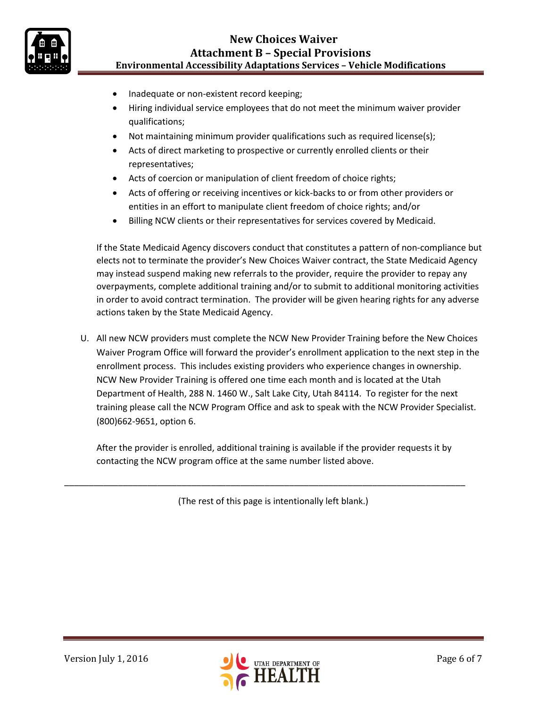

# **New Choices Waiver Attachment B – Special Provisions Environmental Accessibility Adaptations Services – Vehicle Modifications**

- Inadequate or non-existent record keeping;
- Hiring individual service employees that do not meet the minimum waiver provider qualifications;
- Not maintaining minimum provider qualifications such as required license(s);
- Acts of direct marketing to prospective or currently enrolled clients or their representatives;
- Acts of coercion or manipulation of client freedom of choice rights;
- Acts of offering or receiving incentives or kick-backs to or from other providers or entities in an effort to manipulate client freedom of choice rights; and/or
- Billing NCW clients or their representatives for services covered by Medicaid.

If the State Medicaid Agency discovers conduct that constitutes a pattern of non-compliance but elects not to terminate the provider's New Choices Waiver contract, the State Medicaid Agency may instead suspend making new referrals to the provider, require the provider to repay any overpayments, complete additional training and/or to submit to additional monitoring activities in order to avoid contract termination. The provider will be given hearing rights for any adverse actions taken by the State Medicaid Agency.

U. All new NCW providers must complete the NCW New Provider Training before the New Choices Waiver Program Office will forward the provider's enrollment application to the next step in the enrollment process. This includes existing providers who experience changes in ownership. NCW New Provider Training is offered one time each month and is located at the Utah Department of Health, 288 N. 1460 W., Salt Lake City, Utah 84114. To register for the next training please call the NCW Program Office and ask to speak with the NCW Provider Specialist. (800)662-9651, option 6.

After the provider is enrolled, additional training is available if the provider requests it by contacting the NCW program office at the same number listed above.

(The rest of this page is intentionally left blank.)

\_\_\_\_\_\_\_\_\_\_\_\_\_\_\_\_\_\_\_\_\_\_\_\_\_\_\_\_\_\_\_\_\_\_\_\_\_\_\_\_\_\_\_\_\_\_\_\_\_\_\_\_\_\_\_\_\_\_\_\_\_\_\_\_\_\_\_\_\_\_\_\_\_\_\_\_\_\_\_\_\_\_